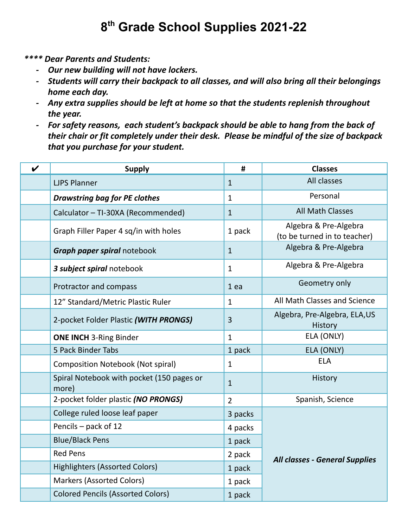## **8 th Grade School Supplies 2021-22**

*\*\*\*\* Dear Parents and Students:*

- *- Our new building will not have lockers.*
- *- Students will carry their backpack to all classes, and will also bring all their belongings home each day.*
- *- Any extra supplies should be left at home so that the students replenish throughout the year.*
- *- For safety reasons, each student's backpack should be able to hang from the back of their chair or fit completely under their desk. Please be mindful of the size of backpack that you purchase for your student.*

| $\boldsymbol{\nu}$ | <b>Supply</b>                                      | #              | <b>Classes</b>                                        |
|--------------------|----------------------------------------------------|----------------|-------------------------------------------------------|
|                    | <b>LJPS Planner</b>                                | $\mathbf{1}$   | All classes                                           |
|                    | <b>Drawstring bag for PE clothes</b>               | $\mathbf{1}$   | Personal                                              |
|                    | Calculator - TI-30XA (Recommended)                 | $\mathbf{1}$   | <b>All Math Classes</b>                               |
|                    | Graph Filler Paper 4 sq/in with holes              | 1 pack         | Algebra & Pre-Algebra<br>(to be turned in to teacher) |
|                    | Graph paper spiral notebook                        | $\mathbf{1}$   | Algebra & Pre-Algebra                                 |
|                    | 3 subject spiral notebook                          | $\mathbf{1}$   | Algebra & Pre-Algebra                                 |
|                    | Protractor and compass                             | 1ea            | Geometry only                                         |
|                    | 12" Standard/Metric Plastic Ruler                  | $\mathbf{1}$   | All Math Classes and Science                          |
|                    | 2-pocket Folder Plastic (WITH PRONGS)              | 3              | Algebra, Pre-Algebra, ELA, US<br>History              |
|                    | <b>ONE INCH 3-Ring Binder</b>                      | $\mathbf{1}$   | ELA (ONLY)                                            |
|                    | 5 Pack Binder Tabs                                 | 1 pack         | ELA (ONLY)                                            |
|                    | <b>Composition Notebook (Not spiral)</b>           | $\mathbf{1}$   | <b>ELA</b>                                            |
|                    | Spiral Notebook with pocket (150 pages or<br>more) | $\mathbf{1}$   | History                                               |
|                    | 2-pocket folder plastic (NO PRONGS)                | $\overline{2}$ | Spanish, Science                                      |
|                    | College ruled loose leaf paper                     | 3 packs        | <b>All classes - General Supplies</b>                 |
|                    | Pencils - pack of 12                               | 4 packs        |                                                       |
|                    | <b>Blue/Black Pens</b>                             | 1 pack         |                                                       |
|                    | <b>Red Pens</b>                                    | 2 pack         |                                                       |
|                    | <b>Highlighters (Assorted Colors)</b>              | 1 pack         |                                                       |
|                    | <b>Markers (Assorted Colors)</b>                   | 1 pack         |                                                       |
|                    | <b>Colored Pencils (Assorted Colors)</b>           | 1 pack         |                                                       |